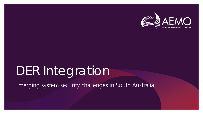

# DER Integration

Emerging system security challenges in South Australia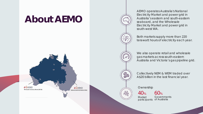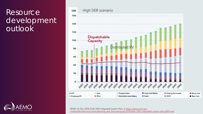### **Resource** development outlook



AEMO (12 Dec 2019) Draft 2020 Integrated System Plan, at https://aemo.com.au/- [/media/files/electricity/nem/planning\\_and\\_forecasting/isp/2019/draft-2020-integrated-system-plan.pdf?la=en](https://aemo.com.au/-/media/files/electricity/nem/planning_and_forecasting/isp/2019/draft-2020-integrated-system-plan.pdf?la=en)



#### High DER scenario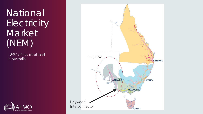**National Electricity** Market<sup>1</sup> (NEM)

~85% of electrical load in Australia



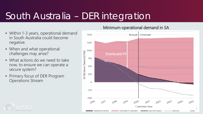## South Australia – DER integration

- Within 1-3 years, operational demand in South Australia could become negative.
- When and what operational challenges may arise?
- What actions do we need to take now, to ensure we can operate a secure system?
- Primary focus of DER Program Operations Stream

#### Minimum operational demand in SA



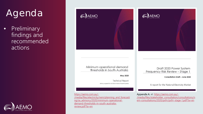## Agenda

• Preliminary findings and recommended actions





Minimum operational demand thresholds in South Australia

May 2020

**Technical Report** Advice prepared for the Government of South Australia

https://aemo.com.au/-

[/media/files/electricity/nem/planning\\_and\\_forecasti](https://aemo.com.au/-/media/files/electricity/nem/planning_and_forecasting/sa_advisory/2020/minimum-operational-demand-thresholds-in-south-australia-review.pdf?la=en) ng/sa\_advisory/2020/minimum-operationaldemand-thresholds-in-south-australiareview.pdf?la=en



Draft 2020 Power System Frequency Risk Review - Stage 1

**Consultation Draft - June 2020** 

A report for the National Electricity Market

Appendix A, at: https://aemo.com.au/- [/media/files/stakeholder\\_consultation/consultations/n](https://aemo.com.au/-/media/files/stakeholder_consultation/consultations/nem-consultations/2020/psfrr/psfrr-stage-1.pdf?la=en) em-consultations/2020/psfrr/psfrr-stage-1.pdf?la=en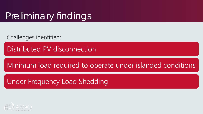### Preliminary findings

Challenges identified:

Distributed PV disconnection

### Minimum load required to operate under islanded conditions

### Under Frequency Load Shedding

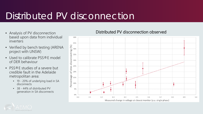## Distributed PV disconnection

- Analysis of PV disconnection based upon data from individual inverters
- Verified by bench testing (ARENA project with UNSW)
- Used to calibrate PSS®E model of DER behaviour
- PSS®E studies of a severe but credible fault in the Adelaide metropolitan area:
	- 19 20% of underlying load in SA disconnects
	- 38 44% of distributed PV generation in SA disconnects

#### Distributed PV disconnection observed



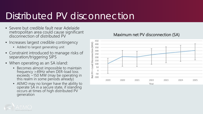### Distributed PV disconnection

- Severe but credible fault near Adelaide metropolitan area could cause significant disconnection of distributed PV
- Increases largest credible contingency
	- Added to largest generating unit
- Constraint introduced to manage risks of separation/triggering SIPS
- When operating as an SA island:
	- Becomes almost impossible to maintain frequency >49Hz when DER-load loss exceeds ~150 MW (may be operating in this realm in some periods already)
	- AEMO may no longer have the ability to operate SA in a secure state, if islanding occurs at times of high distributed PV generation



#### Maximum net PV disconnection (SA)

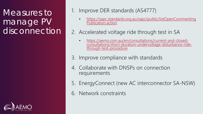Measures to manage PV disconnection



#### 1. Improve DER standards (AS4777)

- [https://sapc.standards.org.au/sapc/public/listOpenCommenting](https://sapc.standards.org.au/sapc/public/listOpenCommentingPublication.action) Publication.action
- 2. Accelerated voltage ride through test in SA
	- https://aemo.com.au/en/consultations/current-and-closed-<br>[consultations/short-duration-undervoltage-disturbance-ride-](https://aemo.com.au/en/consultations/current-and-closed-consultations/short-duration-undervoltage-disturbance-ride-through-test-procedure)<br>through-test-procedure
- 3. Improve compliance with standards
- 4. Collaborate with DNSPs on connection requirements
- 5. EnergyConnect (new AC interconnector SA-NSW)
- 6. Network constraints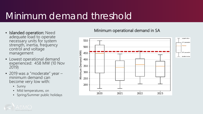### Minimum demand threshold

- Islanded operation: Need adequate load to operate necessary units for system strength, inertia, frequency control and voltage management
- Lowest operational demand experienced: 458 MW (10 Nov 2019)
- 2019 was a "moderate" year minimum demand can become very low with:
	- Sunny
	- Mild temperatures, on
	- Spring/Summer public holidays

#### Minimum operational demand in SA



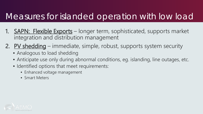### Measures for islanded operation with low load

- 1. **SAPN: Flexible Exports** longer term, sophisticated, supports market integration and distribution management
- 2. PV shedding immediate, simple, robust, supports system security
	- Analogous to load shedding
	- Anticipate use only during abnormal conditions, eq. islanding, line outages, etc.
	- Identified options that meet requirements:
		- Enhanced voltage management
		- Smart Meters

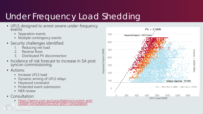### Under Frequency Load Shedding

- UFLS designed to arrest severe under-frequency events
	- Separation events
	- Multiple contingency events
- Security challenges identified:
	- 1. Reducing net load<br>2. Reverse flows
	- Reverse flows
	- 3. Distributed PV disconnection
- Incidence of risk forecast to increase in SA post syncon commissioning
- Actions:
	- Increase UFLS load
	- Dynamic arming of UFLS relays
	- Heywood constraint
	- Protected event submission
	- NER review
- Consultation:
	- [https://aemo.com.au/consultations/current-and-](https://aemo.com.au/consultations/current-and-closed-consultations/2020-psfrr-consultation) closed-consultations/2020-psfrr-consultation

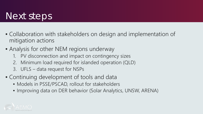### Next steps

- Collaboration with stakeholders on design and implementation of mitigation actions
- Analysis for other NEM regions underway
	- 1. PV disconnection and impact on contingency sizes
	- 2. Minimum load required for islanded operation (QLD)
	- 3. UFLS data request for NSPs
- Continuing development of tools and data
	- Models in PSSE/PSCAD, rollout for stakeholders
	- Improving data on DER behavior (Solar Analytics, UNSW, ARENA)